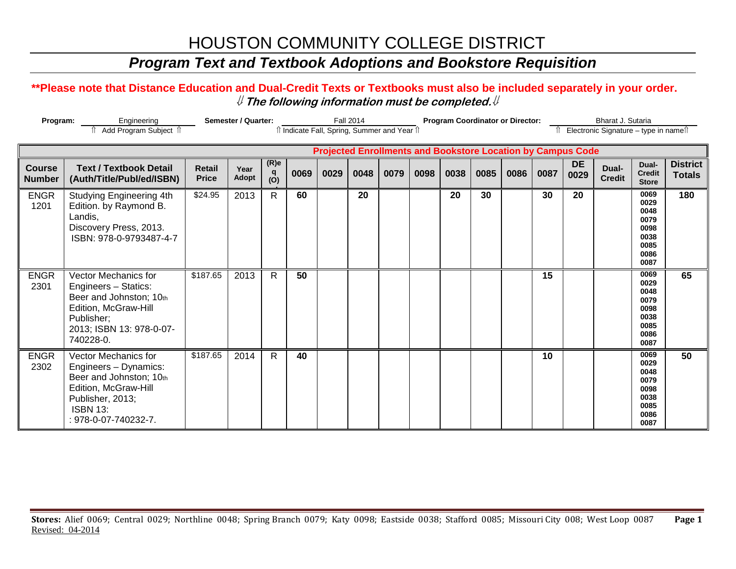# HOUSTON COMMUNITY COLLEGE DISTRICT

### *Program Text and Textbook Adoptions and Bookstore Requisition*

### **\*\*Please note that Distance Education and Dual-Credit Texts or Textbooks must also be included separately in your order.**  ⇓ **The following information must be completed.**⇓

| Program:<br>Engineering<br>Add Program Subject 1 |                                                                                                                                                                        |                               | <b>Semester / Quarter:</b>                                         |                             | <b>Program Coordinator or Director:</b><br><b>Fall 2014</b><br>î Indicate Fall, Spring, Summer and Year î |      |      |      |      |      |      |      |      | Bharat J. Sutaria<br>Electronic Signature - type in namest |                        |                                                                      |                                  |  |
|--------------------------------------------------|------------------------------------------------------------------------------------------------------------------------------------------------------------------------|-------------------------------|--------------------------------------------------------------------|-----------------------------|-----------------------------------------------------------------------------------------------------------|------|------|------|------|------|------|------|------|------------------------------------------------------------|------------------------|----------------------------------------------------------------------|----------------------------------|--|
|                                                  |                                                                                                                                                                        |                               | <b>Projected Enrollments and Bookstore Location by Campus Code</b> |                             |                                                                                                           |      |      |      |      |      |      |      |      |                                                            |                        |                                                                      |                                  |  |
| <b>Course</b><br><b>Number</b>                   | <b>Text / Textbook Detail</b><br>(Auth/Title/Publ/ed/ISBN)                                                                                                             | <b>Retail</b><br><b>Price</b> | Year<br>Adopt                                                      | (R)e<br>q<br>$\overline{O}$ | 0069                                                                                                      | 0029 | 0048 | 0079 | 0098 | 0038 | 0085 | 0086 | 0087 | <b>DE</b><br>0029                                          | Dual-<br><b>Credit</b> | Dual-<br><b>Credit</b><br><b>Store</b>                               | <b>District</b><br><b>Totals</b> |  |
| <b>ENGR</b><br>1201                              | Studying Engineering 4th<br>Edition. by Raymond B.<br>Landis,<br>Discovery Press, 2013.<br>ISBN: 978-0-9793487-4-7                                                     | \$24.95                       | 2013                                                               | $\mathsf{R}$                | 60                                                                                                        |      | 20   |      |      | 20   | 30   |      | 30   | 20                                                         |                        | 0069<br>0029<br>0048<br>0079<br>0098<br>0038<br>0085<br>0086<br>0087 | 180                              |  |
| <b>ENGR</b><br>2301                              | <b>Vector Mechanics for</b><br>Engineers - Statics:<br>Beer and Johnston; 10th<br>Edition, McGraw-Hill<br>Publisher;<br>2013; ISBN 13: 978-0-07-<br>740228-0.          | \$187.65                      | 2013                                                               | R                           | 50                                                                                                        |      |      |      |      |      |      |      | 15   |                                                            |                        | 0069<br>0029<br>0048<br>0079<br>0098<br>0038<br>0085<br>0086<br>0087 | 65                               |  |
| <b>ENGR</b><br>2302                              | <b>Vector Mechanics for</b><br>Engineers - Dynamics:<br>Beer and Johnston; 10th<br>Edition, McGraw-Hill<br>Publisher, 2013;<br><b>ISBN 13:</b><br>: 978-0-07-740232-7. | \$187.65                      | 2014                                                               | $\mathsf{R}$                | 40                                                                                                        |      |      |      |      |      |      |      | 10   |                                                            |                        | 0069<br>0029<br>0048<br>0079<br>0098<br>0038<br>0085<br>0086<br>0087 | 50                               |  |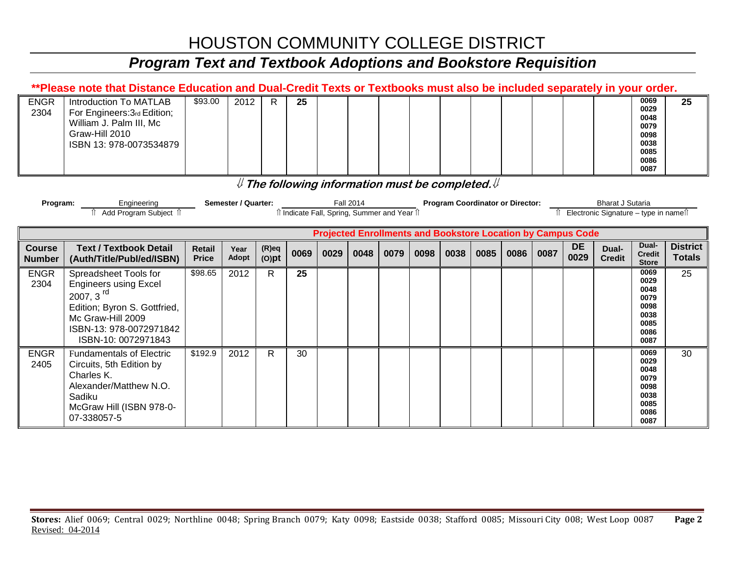# HOUSTON COMMUNITY COLLEGE DISTRICT

# *Program Text and Textbook Adoptions and Bookstore Requisition*

| **Please note that Distance Education and Dual-Credit Texts or Textbooks must also be included separately in your order.                                                                                                                                          |                                                                                                                                                    |                               |               |                      |      |      |      |      |      |      |      |      |      |                   |                        |                                                                      |                                  |
|-------------------------------------------------------------------------------------------------------------------------------------------------------------------------------------------------------------------------------------------------------------------|----------------------------------------------------------------------------------------------------------------------------------------------------|-------------------------------|---------------|----------------------|------|------|------|------|------|------|------|------|------|-------------------|------------------------|----------------------------------------------------------------------|----------------------------------|
| <b>ENGR</b><br>2304                                                                                                                                                                                                                                               | Introduction To MATLAB<br>For Engineers: 3rd Edition;<br>William J. Palm III, Mc<br>Graw-Hill 2010<br>ISBN 13: 978-0073534879                      | \$93.00                       | 2012          | $\mathsf{R}$         | 25   |      |      |      |      |      |      |      |      |                   |                        | 0069<br>0029<br>0048<br>0079<br>0098<br>0038<br>0085<br>0086<br>0087 | 25                               |
| ${\mathbb U}$ The following information must be completed. ${\mathbb U}$                                                                                                                                                                                          |                                                                                                                                                    |                               |               |                      |      |      |      |      |      |      |      |      |      |                   |                        |                                                                      |                                  |
| Semester / Quarter:<br><b>Program Coordinator or Director:</b><br><b>Bharat J Sutaria</b><br><b>Fall 2014</b><br>Engineering<br>Program:<br><b>↑ Add Program Subject ↑</b><br>î Indicate Fall, Spring, Summer and Year î<br>↑ Electronic Signature - type in name |                                                                                                                                                    |                               |               |                      |      |      |      |      |      |      |      |      |      |                   |                        |                                                                      |                                  |
| <b>Projected Enrollments and Bookstore Location by Campus Code</b>                                                                                                                                                                                                |                                                                                                                                                    |                               |               |                      |      |      |      |      |      |      |      |      |      |                   |                        |                                                                      |                                  |
| <b>Course</b><br><b>Number</b>                                                                                                                                                                                                                                    | <b>Text / Textbook Detail</b><br>(Auth/Title/Publ/ed/ISBN)                                                                                         | <b>Retail</b><br><b>Price</b> | Year<br>Adopt | $(R)$ eq<br>$(O)$ pt | 0069 | 0029 | 0048 | 0079 | 0098 | 0038 | 0085 | 0086 | 0087 | <b>DE</b><br>0029 | Dual-<br><b>Credit</b> | Dual-<br><b>Credit</b><br><b>Store</b>                               | <b>District</b><br><b>Totals</b> |
| <b>ENGR</b>                                                                                                                                                                                                                                                       | Spreadsheet Tools for                                                                                                                              | \$98.65                       |               |                      |      |      |      |      |      |      |      |      |      |                   |                        |                                                                      |                                  |
| 2304                                                                                                                                                                                                                                                              | <b>Engineers using Excel</b><br>2007, $3rd$<br>Edition; Byron S. Gottfried,<br>Mc Graw-Hill 2009<br>ISBN-13: 978-0072971842<br>ISBN-10: 0072971843 |                               | 2012          | R.                   | 25   |      |      |      |      |      |      |      |      |                   |                        | 0069<br>0029<br>0048<br>0079<br>0098<br>0038<br>0085<br>0086<br>0087 | 25                               |